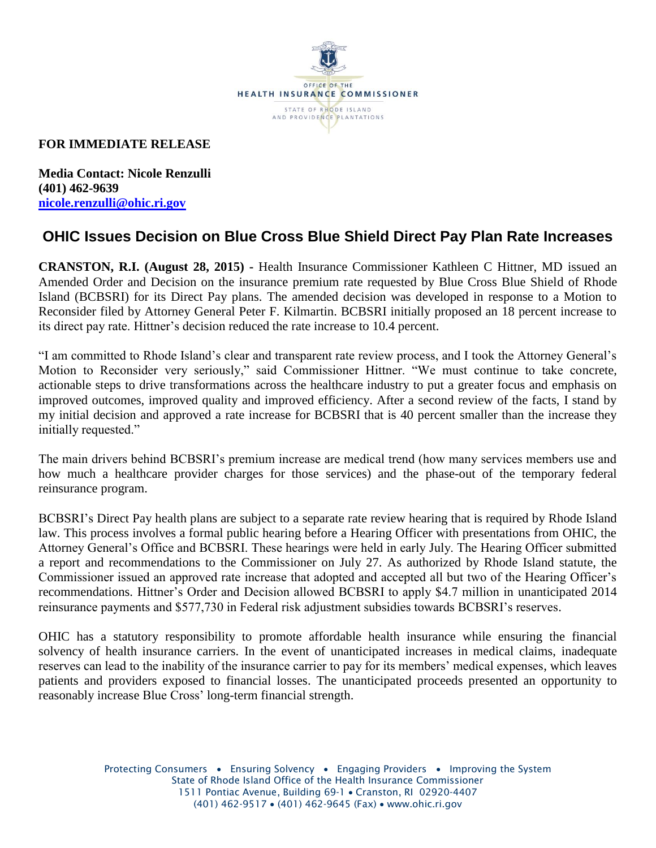

## **FOR IMMEDIATE RELEASE**

**Media Contact: Nicole Renzulli (401) 462-9639 [nicole.renzulli@ohic.ri.gov](mailto:nicole.renzulli@ohic.ri.gov)**

## **OHIC Issues Decision on Blue Cross Blue Shield Direct Pay Plan Rate Increases**

**CRANSTON, R.I. (August 28, 2015) -** Health Insurance Commissioner Kathleen C Hittner, MD issued an Amended Order and Decision on the insurance premium rate requested by Blue Cross Blue Shield of Rhode Island (BCBSRI) for its Direct Pay plans. The amended decision was developed in response to a Motion to Reconsider filed by Attorney General Peter F. Kilmartin. BCBSRI initially proposed an 18 percent increase to its direct pay rate. Hittner's decision reduced the rate increase to 10.4 percent.

"I am committed to Rhode Island's clear and transparent rate review process, and I took the Attorney General's Motion to Reconsider very seriously," said Commissioner Hittner. "We must continue to take concrete, actionable steps to drive transformations across the healthcare industry to put a greater focus and emphasis on improved outcomes, improved quality and improved efficiency. After a second review of the facts, I stand by my initial decision and approved a rate increase for BCBSRI that is 40 percent smaller than the increase they initially requested."

The main drivers behind BCBSRI's premium increase are medical trend (how many services members use and how much a healthcare provider charges for those services) and the phase-out of the temporary federal reinsurance program.

BCBSRI's Direct Pay health plans are subject to a separate rate review hearing that is required by Rhode Island law. This process involves a formal public hearing before a Hearing Officer with presentations from OHIC, the Attorney General's Office and BCBSRI. These hearings were held in early July. The Hearing Officer submitted a report and recommendations to the Commissioner on July 27. As authorized by Rhode Island statute, the Commissioner issued an approved rate increase that adopted and accepted all but two of the Hearing Officer's recommendations. Hittner's Order and Decision allowed BCBSRI to apply \$4.7 million in unanticipated 2014 reinsurance payments and \$577,730 in Federal risk adjustment subsidies towards BCBSRI's reserves.

OHIC has a statutory responsibility to promote affordable health insurance while ensuring the financial solvency of health insurance carriers. In the event of unanticipated increases in medical claims, inadequate reserves can lead to the inability of the insurance carrier to pay for its members' medical expenses, which leaves patients and providers exposed to financial losses. The unanticipated proceeds presented an opportunity to reasonably increase Blue Cross' long-term financial strength.